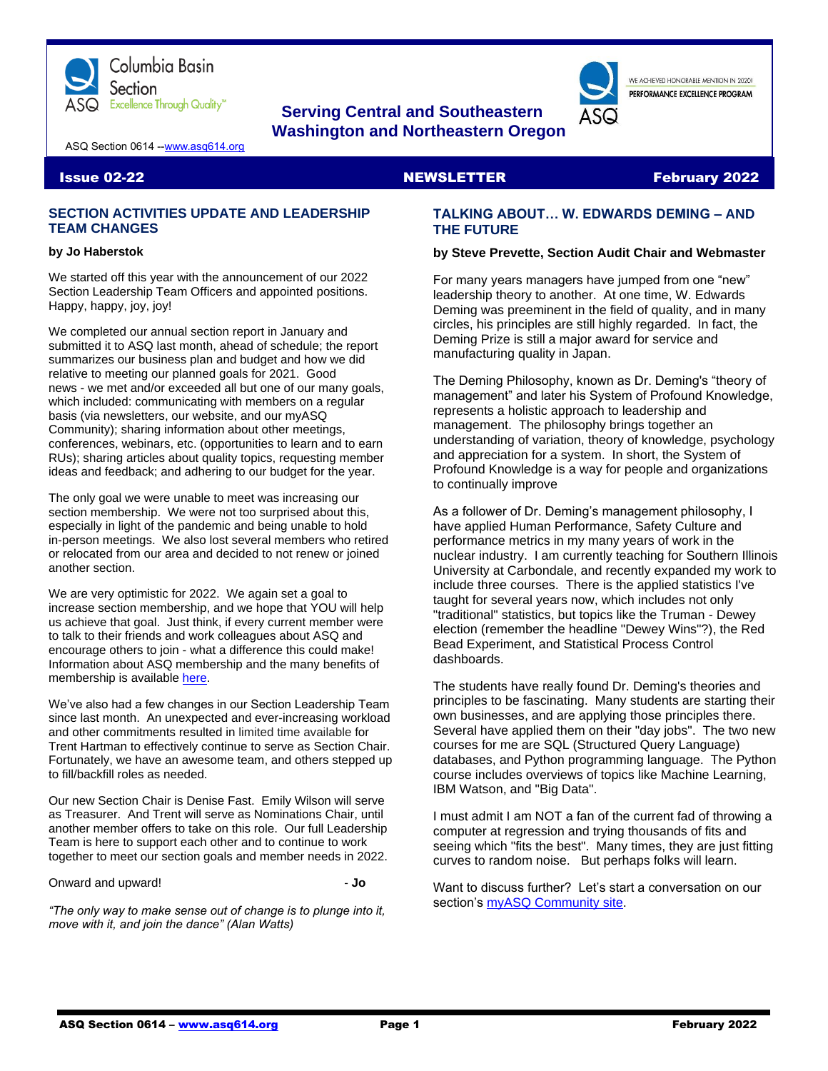

# **Serving Central and Southeastern Washington and Northeastern Oregon**

WE ACHIEVED HONORABLE MENTION IN 2020L PERFORMANCE EXCELLENCE PROGRAM

ASQ Section 0614 -[-www.asq614.org](http://www.asq614.org/)

#### **Issue 02-22 NEWSLETTER February 2022**

# **SECTION ACTIVITIES UPDATE AND LEADERSHIP TEAM CHANGES**

#### **by Jo Haberstok**

We started off this year with the announcement of our 2022 Section Leadership Team Officers and appointed positions. Happy, happy, joy, joy!

We completed our annual section report in January and submitted it to ASQ last month, ahead of schedule; the report summarizes our business plan and budget and how we did relative to meeting our planned goals for 2021. Good news - we met and/or exceeded all but one of our many goals, which included: communicating with members on a regular basis (via newsletters, our website, and our myASQ Community); sharing information about other meetings, conferences, webinars, etc. (opportunities to learn and to earn RUs); sharing articles about quality topics, requesting member ideas and feedback; and adhering to our budget for the year.

The only goal we were unable to meet was increasing our section membership. We were not too surprised about this, especially in light of the pandemic and being unable to hold in-person meetings. We also lost several members who retired or relocated from our area and decided to not renew or joined another section.

We are very optimistic for 2022. We again set a goal to increase section membership, and we hope that YOU will help us achieve that goal. Just think, if every current member were to talk to their friends and work colleagues about ASQ and encourage others to join - what a difference this could make! Information about ASQ membership and the many benefits of membership is available [here.](https://asq.org/membership/)

We've also had a few changes in our Section Leadership Team since last month. An unexpected and ever-increasing workload and other commitments resulted in limited time available for Trent Hartman to effectively continue to serve as Section Chair. Fortunately, we have an awesome team, and others stepped up to fill/backfill roles as needed.

Our new Section Chair is Denise Fast. Emily Wilson will serve as Treasurer. And Trent will serve as Nominations Chair, until another member offers to take on this role. Our full Leadership Team is here to support each other and to continue to work together to meet our section goals and member needs in 2022.

Onward and upward! **In the set of the set of the set of the set of the set of the set of the set of the set of the set of the set of the set of the set of the set of the set of the set of the set of the set of the set of t** 

*"The only way to make sense out of change is to plunge into it, move with it, and join the dance" (Alan Watts)*

# **TALKING ABOUT… W. EDWARDS DEMING – AND THE FUTURE**

#### **by Steve Prevette, Section Audit Chair and Webmaster**

For many years managers have jumped from one "new" leadership theory to another. At one time, W. Edwards Deming was preeminent in the field of quality, and in many circles, his principles are still highly regarded. In fact, the Deming Prize is still a major award for service and manufacturing quality in Japan.

The Deming Philosophy, known as Dr. Deming's "theory of management" and later his System of Profound Knowledge, represents a holistic approach to leadership and management. The philosophy brings together an understanding of variation, theory of knowledge, psychology and appreciation for a system. In short, the System of Profound Knowledge is a way for people and organizations to continually improve

As a follower of Dr. Deming's management philosophy, I have applied Human Performance, Safety Culture and performance metrics in my many years of work in the nuclear industry. I am currently teaching for Southern Illinois University at Carbondale, and recently expanded my work to include three courses. There is the applied statistics I've taught for several years now, which includes not only "traditional" statistics, but topics like the Truman - Dewey election (remember the headline "Dewey Wins"?), the Red Bead Experiment, and Statistical Process Control dashboards.

The students have really found Dr. Deming's theories and principles to be fascinating. Many students are starting their own businesses, and are applying those principles there. Several have applied them on their "day jobs". The two new courses for me are SQL (Structured Query Language) databases, and Python programming language. The Python course includes overviews of topics like Machine Learning, IBM Watson, and "Big Data".

I must admit I am NOT a fan of the current fad of throwing a computer at regression and trying thousands of fits and seeing which "fits the best". Many times, they are just fitting curves to random noise. But perhaps folks will learn.

Want to discuss further? Let's start a conversation on our section's [myASQ Community site.](https://my.asq.org/communities/home/235)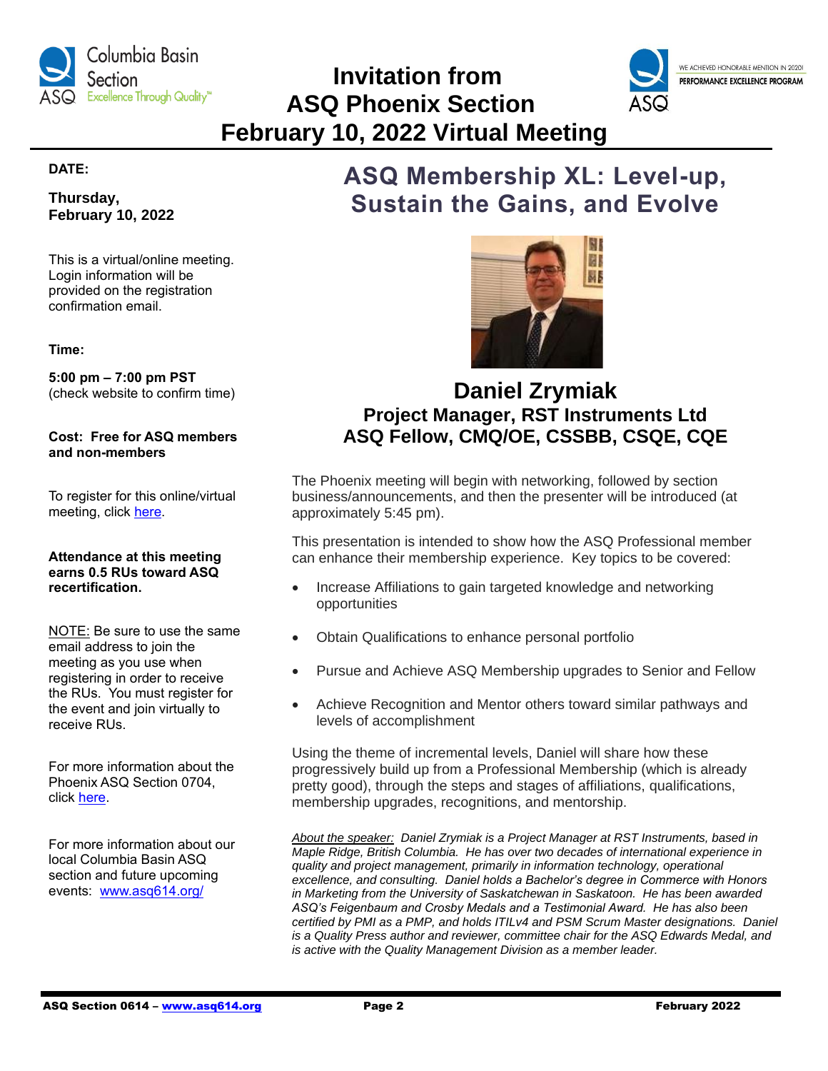

 **Invitation from ASQ Phoenix Section February 10, 2022 Virtual Meeting**



# **DATE:**

**Thursday, February 10, 2022**

This is a virtual/online meeting. Login information will be provided on the registration confirmation email.

### **Time:**

**5:00 pm – 7:00 pm PST** (check website to confirm time)

**Cost: Free for ASQ members and non-members**

To register for this online/virtual meeting, click [here.](https://my.asq.org/events/item/60/3811)

#### **Attendance at this meeting earns 0.5 RUs toward ASQ recertification.**

NOTE: Be sure to use the same email address to join the meeting as you use when registering in order to receive the RUs. You must register for the event and join virtually to receive RUs.

For more information about the Phoenix ASQ Section 0704, click [here.](https://my.asq.org/communities/home/244)

For more information about our local Columbia Basin ASQ section and future upcoming events: [www.asq614.org/](http://www.asq614.org/)

# **ASQ Membership XL: Level-up, Sustain the Gains, and Evolve**



# **Daniel Zrymiak Project Manager, RST Instruments Ltd ASQ Fellow, CMQ/OE, CSSBB, CSQE, CQE**

The Phoenix meeting will begin with networking, followed by section business/announcements, and then the presenter will be introduced (at approximately 5:45 pm).

This presentation is intended to show how the ASQ Professional member can enhance their membership experience. Key topics to be covered:

- Increase Affiliations to gain targeted knowledge and networking opportunities
- Obtain Qualifications to enhance personal portfolio
- Pursue and Achieve ASQ Membership upgrades to Senior and Fellow
- Achieve Recognition and Mentor others toward similar pathways and levels of accomplishment

Using the theme of incremental levels, Daniel will share how these progressively build up from a Professional Membership (which is already pretty good), through the steps and stages of affiliations, qualifications, membership upgrades, recognitions, and mentorship.

*About the speaker: Daniel Zrymiak is a Project Manager at RST Instruments, based in Maple Ridge, British Columbia. He has over two decades of international experience in quality and project management, primarily in information technology, operational excellence, and consulting. Daniel holds a Bachelor's degree in Commerce with Honors in Marketing from the University of Saskatchewan in Saskatoon. He has been awarded ASQ's Feigenbaum and Crosby Medals and a Testimonial Award. He has also been certified by PMI as a PMP, and holds ITILv4 and PSM Scrum Master designations. Daniel is a Quality Press author and reviewer, committee chair for the ASQ Edwards Medal, and is active with the Quality Management Division as a member leader.*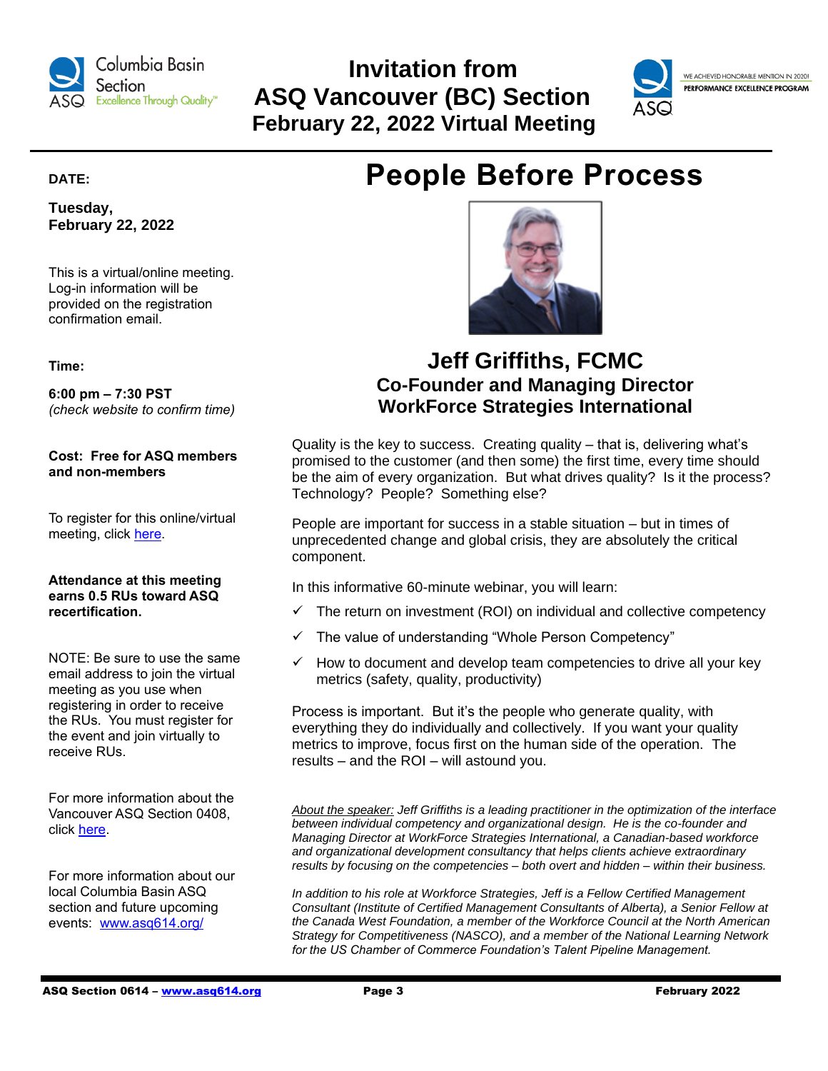

# **Invitation from ASQ Vancouver (BC) Section February 22, 2022 Virtual Meeting**



WE ACHIEVED HONORABLE MENTION IN 2020! PERFORMANCE EXCELLENCE PROGRAM

# **DATE:**

**Tuesday, February 22, 2022**

This is a virtual/online meeting. Log-in information will be provided on the registration confirmation email.

**Time:**

**6:00 pm – 7:30 PST** *(check website to confirm time)*

**Cost: Free for ASQ members and non-members**

To register for this online/virtual meeting, click [here.](https://my.asq.org/communities/events/item/252/60/3807)

# **Attendance at this meeting earns 0.5 RUs toward ASQ recertification.**

NOTE: Be sure to use the same email address to join the virtual meeting as you use when registering in order to receive the RUs. You must register for the event and join virtually to receive RUs.

For more information about the Vancouver ASQ Section 0408, click [here.](https://my.asq.org/communities/home/252)

For more information about our local Columbia Basin ASQ section and future upcoming events: [www.asq614.org/](http://www.asq614.org/)





# **Jeff Griffiths, FCMC Co-Founder and Managing Director WorkForce Strategies International**

Quality is the key to success. Creating quality – that is, delivering what's promised to the customer (and then some) the first time, every time should be the aim of every organization. But what drives quality? Is it the process? Technology? People? Something else?

People are important for success in a stable situation – but in times of unprecedented change and global crisis, they are absolutely the critical component.

In this informative 60-minute webinar, you will learn:

- $\checkmark$  The return on investment (ROI) on individual and collective competency
- ✓ The value of understanding "Whole Person Competency"
- $\checkmark$  How to document and develop team competencies to drive all your key metrics (safety, quality, productivity)

Process is important. But it's the people who generate quality, with everything they do individually and collectively. If you want your quality metrics to improve, focus first on the human side of the operation. The results – and the ROI – will astound you.

*About the speaker: Jeff Griffiths is a leading practitioner in the optimization of the interface between individual competency and organizational design. He is the co-founder and Managing Director at WorkForce Strategies International, a Canadian-based workforce and organizational development consultancy that helps clients achieve extraordinary results by focusing on the competencies – both overt and hidden – within their business.*

*In addition to his role at Workforce Strategies, Jeff is a Fellow Certified Management Consultant (Institute of Certified Management Consultants of Alberta), a Senior Fellow at the Canada West Foundation, a member of the Workforce Council at the North American Strategy for Competitiveness (NASCO), and a member of the National Learning Network for the US Chamber of Commerce Foundation's Talent Pipeline Management.*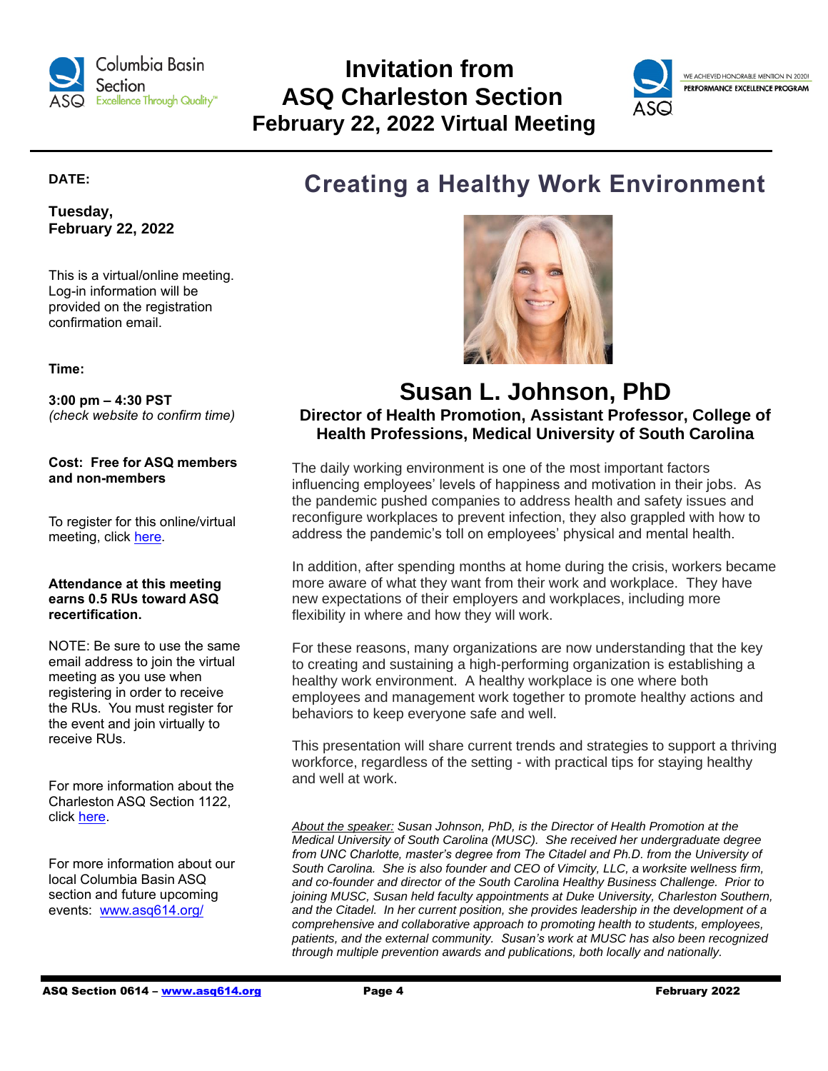

# **Invitation from ASQ Charleston Section February 22, 2022 Virtual Meeting**



# **DATE:**

**Tuesday, February 22, 2022**

This is a virtual/online meeting. Log-in information will be provided on the registration confirmation email.

**Time:**

**3:00 pm – 4:30 PST** *(check website to confirm time)*

**Cost: Free for ASQ members and non-members**

To register for this online/virtual meeting, click [here.](https://my.asq.org/communities/events/item/285/60/3803)

# **Attendance at this meeting earns 0.5 RUs toward ASQ recertification.**

NOTE: Be sure to use the same email address to join the virtual meeting as you use when registering in order to receive the RUs. You must register for the event and join virtually to receive RUs.

For more information about the Charleston ASQ Section 1122, click [here.](https://my.asq.org/communities/home/285)

For more information about our local Columbia Basin ASQ section and future upcoming events: [www.asq614.org/](http://www.asq614.org/)

# **Creating a Healthy Work Environment**



# **Susan L. Johnson, PhD Director of Health Promotion, Assistant Professor, College of Health Professions, Medical University of South Carolina**

The daily working environment is one of the most important factors influencing employees' levels of happiness and motivation in their jobs. As the pandemic pushed companies to address health and safety issues and reconfigure workplaces to prevent infection, they also grappled with how to address the pandemic's toll on employees' physical and mental health.

In addition, after spending months at home during the crisis, workers became more aware of what they want from their work and workplace. They have new expectations of their employers and workplaces, including more flexibility in where and how they will work.

For these reasons, many organizations are now understanding that the key to creating and sustaining a high-performing organization is establishing a healthy work environment. A healthy workplace is one where both employees and management work together to promote healthy actions and behaviors to keep everyone safe and well.

This presentation will share current trends and strategies to support a thriving workforce, regardless of the setting - with practical tips for staying healthy and well at work.

*About the speaker: Susan Johnson, PhD, is the Director of Health Promotion at the Medical University of South Carolina (MUSC). She received her undergraduate degree*  from UNC Charlotte, master's degree from The Citadel and Ph.D. from the University of *South Carolina. She is also founder and CEO of Vimcity, LLC, a worksite wellness firm, and co-founder and director of the South Carolina Healthy Business Challenge. Prior to joining MUSC, Susan held faculty appointments at Duke University, Charleston Southern, and the Citadel. In her current position, she provides leadership in the development of a comprehensive and collaborative approach to promoting health to students, employees, patients, and the external community. Susan's work at MUSC has also been recognized through multiple prevention awards and publications, both locally and nationally.*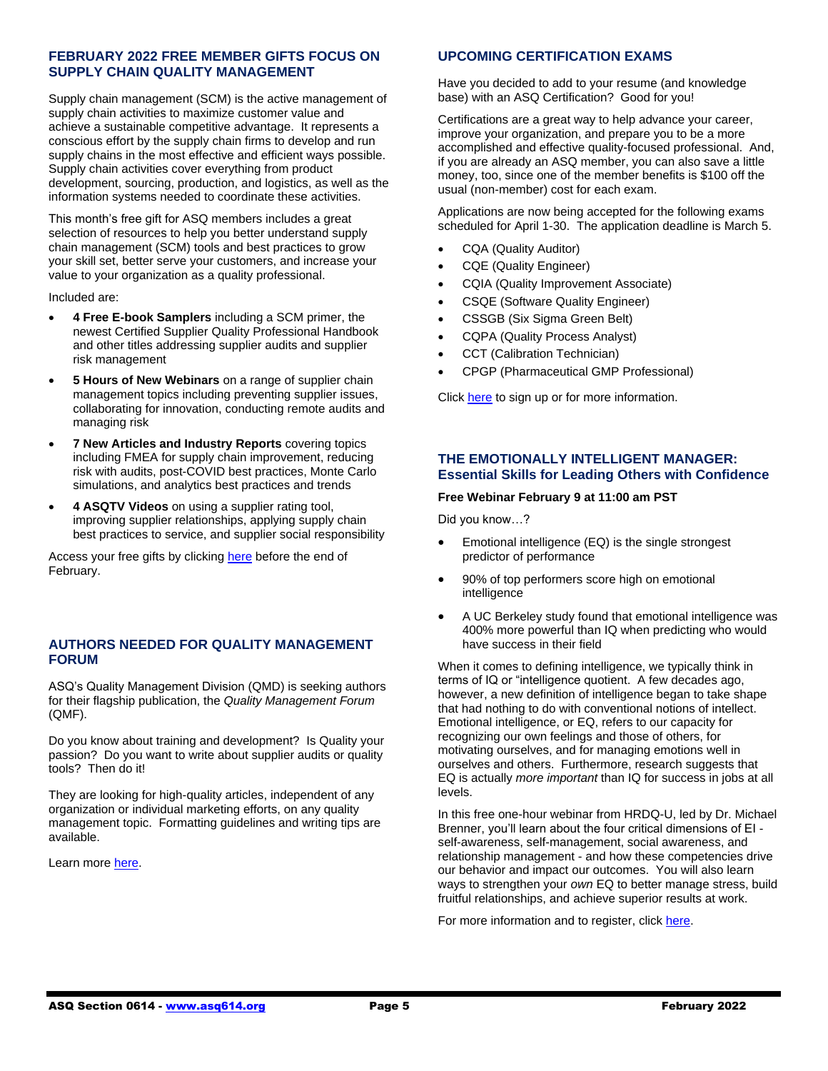# **FEBRUARY 2022 FREE MEMBER GIFTS FOCUS ON SUPPLY CHAIN QUALITY MANAGEMENT**

Supply chain management (SCM) is the active management of supply chain activities to maximize customer value and achieve a sustainable competitive advantage. It represents a conscious effort by the supply chain firms to develop and run supply chains in the most effective and efficient ways possible. Supply chain activities cover everything from product development, sourcing, production, and logistics, as well as the information systems needed to coordinate these activities.

This month's free gift for ASQ members includes a great selection of resources to help you better understand supply chain management (SCM) tools and best practices to grow your skill set, better serve your customers, and increase your value to your organization as a quality professional.

Included are:

- **4 Free E-book Samplers** including a SCM primer, the newest Certified Supplier Quality Professional Handbook and other titles addressing supplier audits and supplier risk management
- **5 Hours of New Webinars** on a range of supplier chain management topics including preventing supplier issues, collaborating for innovation, conducting remote audits and managing risk
- **7 New Articles and Industry Reports** covering topics including FMEA for supply chain improvement, reducing risk with audits, post-COVID best practices, Monte Carlo simulations, and analytics best practices and trends
- **4 ASQTV Videos** on using a supplier rating tool, improving supplier relationships, applying supply chain best practices to service, and supplier social responsibility

Access your free gifts by clicking [here](https://asq.org/membership/member-gift) before the end of February.

# **AUTHORS NEEDED FOR QUALITY MANAGEMENT FORUM**

ASQ's Quality Management Division (QMD) is seeking authors for their flagship publication, the *Quality Management Forum* (QMF).

Do you know about training and development? Is Quality your passion? Do you want to write about supplier audits or quality tools? Then do it!

They are looking for high-quality articles, independent of any organization or individual marketing efforts, on any quality management topic. Formatting guidelines and writing tips are available.

Learn more [here.](https://my.asq.org/communities/reviews/item/28/12/130)

# **UPCOMING CERTIFICATION EXAMS**

Have you decided to add to your resume (and knowledge base) with an ASQ Certification? Good for you!

Certifications are a great way to help advance your career, improve your organization, and prepare you to be a more accomplished and effective quality-focused professional. And, if you are already an ASQ member, you can also save a little money, too, since one of the member benefits is \$100 off the usual (non-member) cost for each exam.

Applications are now being accepted for the following exams scheduled for April 1-30. The application deadline is March 5.

- CQA (Quality Auditor)
- CQE (Quality Engineer)
- CQIA (Quality Improvement Associate)
- CSQE (Software Quality Engineer)
- CSSGB (Six Sigma Green Belt)
- CQPA (Quality Process Analyst)
- CCT (Calibration Technician)
- CPGP (Pharmaceutical GMP Professional)

Click [here](https://asq.org/cert/dates) to sign up or for more information.

# **THE EMOTIONALLY INTELLIGENT MANAGER: Essential Skills for Leading Others with Confidence**

#### **Free Webinar February 9 at 11:00 am PST**

Did you know…?

- Emotional intelligence (EQ) is the single strongest predictor of performance
- 90% of top performers score high on emotional intelligence
- A UC Berkeley study found that emotional intelligence was 400% more powerful than IQ when predicting who would have success in their field

When it comes to defining intelligence, we typically think in terms of IQ or "intelligence quotient. A few decades ago, however, a new definition of intelligence began to take shape that had nothing to do with conventional notions of intellect. Emotional intelligence, or EQ, refers to our capacity for recognizing our own feelings and those of others, for motivating ourselves, and for managing emotions well in ourselves and others. Furthermore, research suggests that EQ is actually *more important* than IQ for success in jobs at all levels.

In this free one-hour webinar from HRDQ-U, led by Dr. Michael Brenner, you'll learn about the four critical dimensions of EI self-awareness, self-management, social awareness, and relationship management - and how these competencies drive our behavior and impact our outcomes. You will also learn ways to strengthen your *own* EQ to better manage stress, build fruitful relationships, and achieve superior results at work.

For more information and to register, clic[k here.](https://register.gotowebinar.com/register/75199318357814540)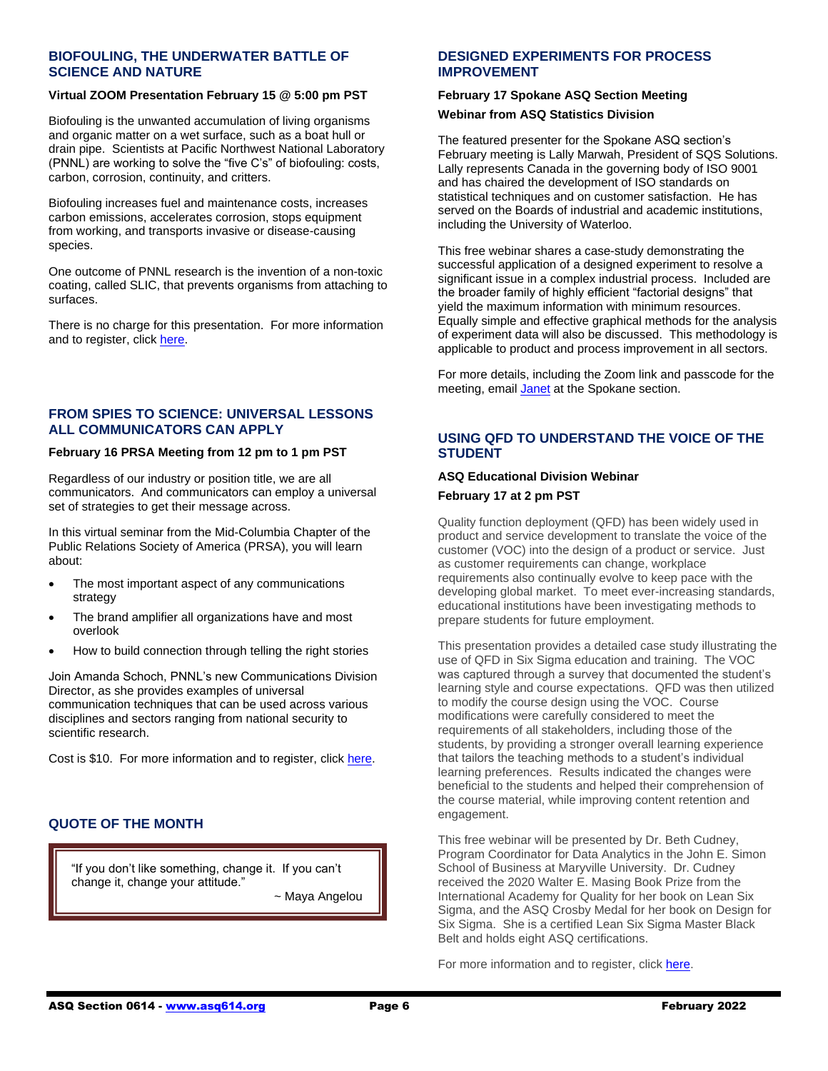# **BIOFOULING, THE UNDERWATER BATTLE OF SCIENCE AND NATURE**

#### **Virtual ZOOM Presentation February 15 @ 5:00 pm PST**

Biofouling is the unwanted accumulation of living organisms and organic matter on a wet surface, such as a boat hull or drain pipe. Scientists at Pacific Northwest National Laboratory (PNNL) are working to solve the "five C's" of biofouling: costs, carbon, corrosion, continuity, and critters.

Biofouling increases fuel and maintenance costs, increases carbon emissions, accelerates corrosion, stops equipment from working, and transports invasive or disease-causing species.

One outcome of PNNL research is the invention of a non-toxic coating, called SLIC, that prevents organisms from attaching to surfaces.

There is no charge for this presentation. For more information and to register, click [here.](https://pnnl.zoomgov.com/webinar/register/WN_XFiKMQftSLiMBQFkJS57hg)

# **FROM SPIES TO SCIENCE: UNIVERSAL LESSONS ALL COMMUNICATORS CAN APPLY**

#### **February 16 PRSA Meeting from 12 pm to 1 pm PST**

Regardless of our industry or position title, we are all communicators. And communicators can employ a universal set of strategies to get their message across.

In this virtual seminar from the Mid-Columbia Chapter of the Public Relations Society of America (PRSA), you will learn about:

- The most important aspect of any communications strategy
- The brand amplifier all organizations have and most overlook
- How to build connection through telling the right stories

Join Amanda Schoch, PNNL's new Communications Division Director, as she provides examples of universal communication techniques that can be used across various disciplines and sectors ranging from national security to scientific research.

Cost is \$10. For more information and to register, click [here.](https://www.eventbrite.com/e/from-spies-to-science-the-universal-lessons-all-communicators-can-apply-tickets-243257829717)

# **QUOTE OF THE MONTH**

"If you don't like something, change it. If you can't change it, change your attitude."

~ Maya Angelou

#### **DESIGNED EXPERIMENTS FOR PROCESS IMPROVEMENT**

# **February 17 Spokane ASQ Section Meeting Webinar from ASQ Statistics Division**

The featured presenter for the Spokane ASQ section's February meeting is Lally Marwah, President of SQS Solutions. Lally represents Canada in the governing body of ISO 9001 and has chaired the development of ISO standards on statistical techniques and on customer satisfaction. He has served on the Boards of industrial and academic institutions, including the University of Waterloo.

This free webinar shares a case-study demonstrating the successful application of a designed experiment to resolve a significant issue in a complex industrial process. Included are the broader family of highly efficient "factorial designs" that yield the maximum information with minimum resources. Equally simple and effective graphical methods for the analysis of experiment data will also be discussed. This methodology is applicable to product and process improvement in all sectors.

For more details, including the Zoom link and passcode for the meeting, email [Janet](mailto:macandwife79@gmail.com) at the Spokane section.

# **USING QFD TO UNDERSTAND THE VOICE OF THE STUDENT**

# **ASQ Educational Division Webinar February 17 at 2 pm PST**

Quality function deployment (QFD) has been widely used in product and service development to translate the voice of the customer (VOC) into the design of a product or service. Just as customer requirements can change, workplace requirements also continually evolve to keep pace with the developing global market. To meet ever-increasing standards, educational institutions have been investigating methods to prepare students for future employment.

This presentation provides a detailed case study illustrating the use of QFD in Six Sigma education and training. The VOC was captured through a survey that documented the student's learning style and course expectations. QFD was then utilized to modify the course design using the VOC. Course modifications were carefully considered to meet the requirements of all stakeholders, including those of the students, by providing a stronger overall learning experience that tailors the teaching methods to a student's individual learning preferences. Results indicated the changes were beneficial to the students and helped their comprehension of the course material, while improving content retention and engagement.

This free webinar will be presented by Dr. Beth Cudney, Program Coordinator for Data Analytics in the John E. Simon School of Business at Maryville University. Dr. Cudney received the 2020 Walter E. Masing Book Prize from the International Academy for Quality for her book on Lean Six Sigma, and the ASQ Crosby Medal for her book on Design for Six Sigma. She is a certified Lean Six Sigma Master Black Belt and holds eight ASQ certifications.

For more information and to register, clic[k here.](https://my.asq.org/communities/events/item/174/60/3783)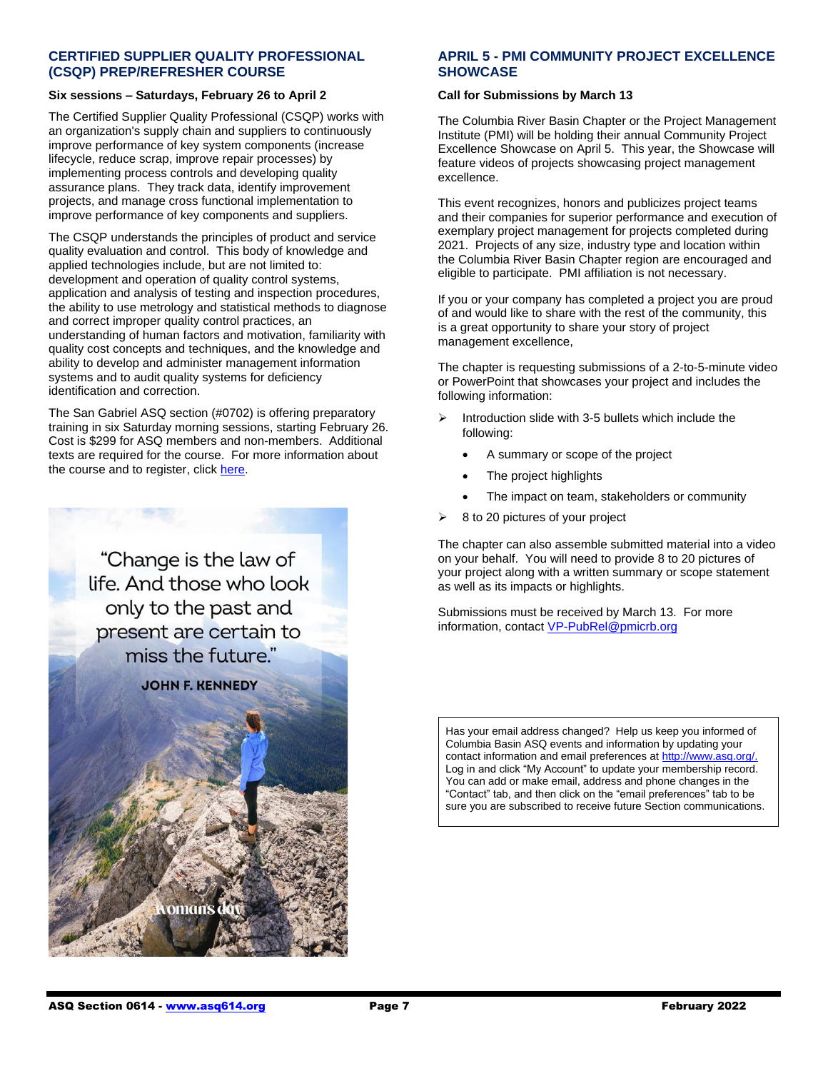## **CERTIFIED SUPPLIER QUALITY PROFESSIONAL (CSQP) PREP/REFRESHER COURSE**

# **Six sessions – Saturdays, February 26 to April 2**

The Certified Supplier Quality Professional (CSQP) works with an organization's supply chain and suppliers to continuously improve performance of key system components (increase lifecycle, reduce scrap, improve repair processes) by implementing process controls and developing quality assurance plans. They track data, identify improvement projects, and manage cross functional implementation to improve performance of key components and suppliers.

The CSQP understands the principles of product and service quality evaluation and control. This body of knowledge and applied technologies include, but are not limited to: development and operation of quality control systems, application and analysis of testing and inspection procedures, the ability to use metrology and statistical methods to diagnose and correct improper quality control practices, an understanding of human factors and motivation, familiarity with quality cost concepts and techniques, and the knowledge and ability to develop and administer management information systems and to audit quality systems for deficiency identification and correction.

The San Gabriel ASQ section (#0702) is offering preparatory training in six Saturday morning sessions, starting February 26. Cost is \$299 for ASQ members and non-members. Additional texts are required for the course. For more information about the course and to register, click [here.](https://www.eventbrite.com/e/asq-certified-supplier-quality-professional-csqp-refresher-course-2-tickets-166402701961?aff=odeimcmailchimp&utm_source=ASQ+702+Members+%26+Attendees&utm_campaign=cc0b423e6a-2018-03+ASQ+0702+Monthly+Meeting_COPY_03&utm_medium=email&utm_term=0_5cb6d4a937-cc0b423e6a-250793833&mc_cid=cc0b423e6a&mc_eid=9be15f98de#add-to-calendar-modal)



# **APRIL 5 - PMI COMMUNITY PROJECT EXCELLENCE SHOWCASE**

#### **Call for Submissions by March 13**

The Columbia River Basin Chapter or the Project Management Institute (PMI) will be holding their annual Community Project Excellence Showcase on April 5. This year, the Showcase will feature videos of projects showcasing project management excellence.

This event recognizes, honors and publicizes project teams and their companies for superior performance and execution of exemplary project management for projects completed during 2021. Projects of any size, industry type and location within the Columbia River Basin Chapter region are encouraged and eligible to participate. PMI affiliation is not necessary.

If you or your company has completed a project you are proud of and would like to share with the rest of the community, this is a great opportunity to share your story of project management excellence,

The chapter is requesting submissions of a 2-to-5-minute video or PowerPoint that showcases your project and includes the following information:

- Introduction slide with 3-5 bullets which include the following:
	- A summary or scope of the project
	- The project highlights
	- The impact on team, stakeholders or community
- ➢ 8 to 20 pictures of your project

The chapter can also assemble submitted material into a video on your behalf. You will need to provide 8 to 20 pictures of your project along with a written summary or scope statement as well as its impacts or highlights.

Submissions must be received by March 13. For more information, contact [VP-PubRel@pmicrb.org](mailto:VP-PubRel@pmicrb.org)

Has your email address changed? Help us keep you informed of Columbia Basin ASQ events and information by updating your contact information and email preferences a[t http://www.asq.org/.](http://www.asq.org/)  Log in and click "My Account" to update your membership record. You can add or make email, address and phone changes in the "Contact" tab, and then click on the "email preferences" tab to be sure you are subscribed to receive future Section communications.